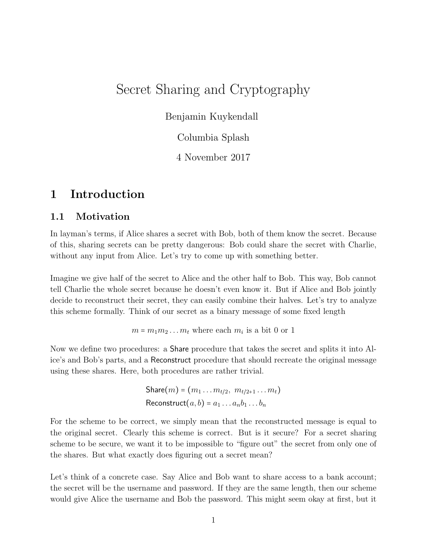# Secret Sharing and Cryptography

Benjamin Kuykendall

Columbia Splash

4 November 2017

# 1 Introduction

### 1.1 Motivation

In layman's terms, if Alice shares a secret with Bob, both of them know the secret. Because of this, sharing secrets can be pretty dangerous: Bob could share the secret with Charlie, without any input from Alice. Let's try to come up with something better.

Imagine we give half of the secret to Alice and the other half to Bob. This way, Bob cannot tell Charlie the whole secret because he doesn't even know it. But if Alice and Bob jointly decide to reconstruct their secret, they can easily combine their halves. Let's try to analyze this scheme formally. Think of our secret as a binary message of some fixed length

 $m = m_1 m_2 \dots m_t$  where each  $m_i$  is a bit 0 or 1

Now we define two procedures: a Share procedure that takes the secret and splits it into Alice's and Bob's parts, and a Reconstruct procedure that should recreate the original message using these shares. Here, both procedures are rather trivial.

> Share(m) =  $(m_1 \ldots m_{t/2}, m_{t/2+1} \ldots m_t)$ Reconstruct $(a, b) = a_1 \dots a_n b_1 \dots b_n$

For the scheme to be correct, we simply mean that the reconstructed message is equal to the original secret. Clearly this scheme is correct. But is it secure? For a secret sharing scheme to be secure, we want it to be impossible to "figure out" the secret from only one of the shares. But what exactly does figuring out a secret mean?

Let's think of a concrete case. Say Alice and Bob want to share access to a bank account; the secret will be the username and password. If they are the same length, then our scheme would give Alice the username and Bob the password. This might seem okay at first, but it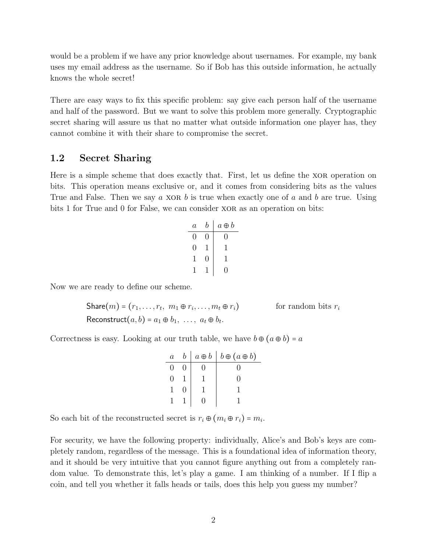would be a problem if we have any prior knowledge about usernames. For example, my bank uses my email address as the username. So if Bob has this outside information, he actually knows the whole secret!

There are easy ways to fix this specific problem: say give each person half of the username and half of the password. But we want to solve this problem more generally. Cryptographic secret sharing will assure us that no matter what outside information one player has, they cannot combine it with their share to compromise the secret.

### 1.2 Secret Sharing

Here is a simple scheme that does exactly that. First, let us define the XOR operation on bits. This operation means exclusive or, and it comes from considering bits as the values True and False. Then we say  $a$  XOR  $b$  is true when exactly one of  $a$  and  $b$  are true. Using bits 1 for True and 0 for False, we can consider xor as an operation on bits:

| $\it a$ | b | $a \oplus b$ |
|---------|---|--------------|
| 0       | 0 | 0            |
| 0       | ı | T            |
| 1       | 0 | 1            |
|         |   | 0            |

Now we are ready to define our scheme.

 $\textsf{Share}(m)$  =  $(r_1,\ldots,r_t,~m_1\oplus r_i)$ for random bits  $r_i$ Reconstruct $(a, b) = a_1 \oplus b_1, \ldots, a_t \oplus b_t.$ 

Correctness is easy. Looking at our truth table, we have  $b \oplus (a \oplus b) = a$ 

| $\overline{a}$ |  | $a \oplus b \mid b \oplus (a \oplus b)$ |
|----------------|--|-----------------------------------------|
|                |  |                                         |
|                |  |                                         |
|                |  |                                         |
|                |  |                                         |

So each bit of the reconstructed secret is  $r_i \oplus (m_i \oplus r_i) = m_i$ .

For security, we have the following property: individually, Alice's and Bob's keys are completely random, regardless of the message. This is a foundational idea of information theory, and it should be very intuitive that you cannot figure anything out from a completely random value. To demonstrate this, let's play a game. I am thinking of a number. If I flip a coin, and tell you whether it falls heads or tails, does this help you guess my number?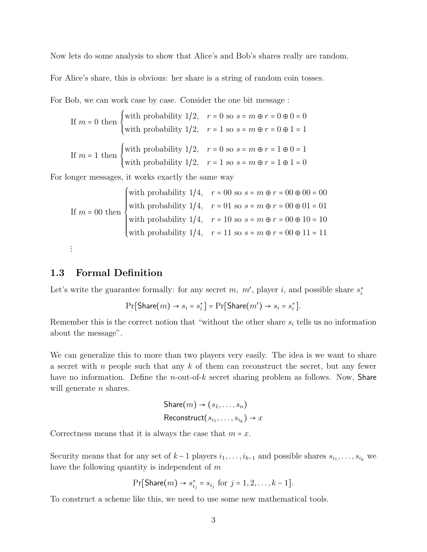Now lets do some analysis to show that Alice's and Bob's shares really are random.

For Alice's share, this is obvious: her share is a string of random coin tosses.

For Bob, we can work case by case. Consider the one bit message :

If 
$$
m = 0
$$
 then  $\begin{cases} \text{with probability } 1/2, & r = 0 \text{ so } s = m \oplus r = 0 \oplus 0 = 0 \\ \text{with probability } 1/2, & r = 1 \text{ so } s = m \oplus r = 0 \oplus 1 = 1 \end{cases}$   
If  $m = 1$  then  $\begin{cases} \text{with probability } 1/2, & r = 0 \text{ so } s = m \oplus r = 1 \oplus 0 = 1 \\ \text{with probability } 1/2, & r = 1 \text{ so } s = m \oplus r = 1 \oplus 1 = 0 \end{cases}$ 

For longer messages, it works exactly the same way

If 
$$
m = 00
$$
 then  
with probability  $1/4$ ,  $r = 00$  so  $s = m \oplus r = 00 \oplus 00 = 00$   
with probability  $1/4$ ,  $r = 01$  so  $s = m \oplus r = 00 \oplus 01 = 01$   
with probability  $1/4$ ,  $r = 10$  so  $s = m \oplus r = 00 \oplus 10 = 10$   
with probability  $1/4$ ,  $r = 11$  so  $s = m \oplus r = 00 \oplus 11 = 11$ 

#### ⋮

#### 1.3 Formal Definition

Let's write the guarantee formally: for any secret m,  $m'$ , player i, and possible share  $s_i^*$ 

$$
\Pr[\text{Share}(m) \rightarrow s_i = s_i^*] = \Pr[\text{Share}(m') \rightarrow s_i = s_i^*].
$$

Remember this is the correct notion that "without the other share  $s_i$  tells us no information about the message".

We can generalize this to more than two players very easily. The idea is we want to share a secret with n people such that any  $k$  of them can reconstruct the secret, but any fewer have no information. Define the *n*-out-of-k secret sharing problem as follows. Now, **Share** will generate  $n$  shares.

$$
Share(m) \rightarrow (s_1, \ldots, s_n)
$$
  
Reconstruct $(s_{i_1}, \ldots, s_{i_k}) \rightarrow x$ 

Correctness means that it is always the case that  $m = x$ .

Security means that for any set of  $k-1$  players  $i_1, \ldots, i_{k-1}$  and possible shares  $s_{i_1}, \ldots, s_{i_k}$  we have the following quantity is independent of m

$$
\Pr[\text{Share}(m) \to s_{i_j}^* = s_{i_j} \text{ for } j = 1, 2, \dots, k - 1].
$$

To construct a scheme like this, we need to use some new mathematical tools.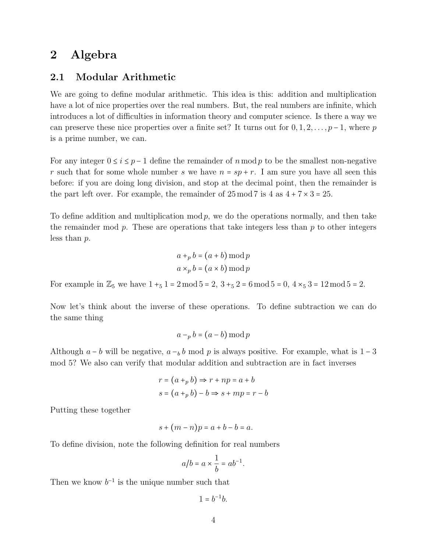## 2 Algebra

#### 2.1 Modular Arithmetic

We are going to define modular arithmetic. This idea is this: addition and multiplication have a lot of nice properties over the real numbers. But, the real numbers are infinite, which introduces a lot of difficulties in information theory and computer science. Is there a way we can preserve these nice properties over a finite set? It turns out for  $0, 1, 2, \ldots, p-1$ , where p is a prime number, we can.

For any integer  $0 \le i \le p-1$  define the remainder of n mod p to be the smallest non-negative r such that for some whole number s we have  $n = sp + r$ . I am sure you have all seen this before: if you are doing long division, and stop at the decimal point, then the remainder is the part left over. For example, the remainder of  $25 \mod 7$  is  $4 \text{ as } 4 + 7 \times 3 = 25$ .

To define addition and multiplication mod  $p$ , we do the operations normally, and then take the remainder mod  $p$ . These are operations that take integers less than  $p$  to other integers less than p.

$$
a +_{p} b = (a + b) \bmod p
$$

$$
a \times_{p} b = (a \times b) \bmod p
$$

For example in  $\mathbb{Z}_5$  we have  $1 +_5 1 = 2 \mod 5 = 2$ ,  $3 +_5 2 = 6 \mod 5 = 0$ ,  $4 \times_5 3 = 12 \mod 5 = 2$ .

Now let's think about the inverse of these operations. To define subtraction we can do the same thing

$$
a - p b = (a - b) \bmod p
$$

Although  $a - b$  will be negative,  $a - b$  mod p is always positive. For example, what is 1 – 3 mod 5? We also can verify that modular addition and subtraction are in fact inverses

$$
r = (a +_p b) \Rightarrow r + np = a + b
$$
  

$$
s = (a +_p b) - b \Rightarrow s + mp = r - b
$$

Putting these together

$$
s + (m - n)p = a + b - b = a.
$$

To define division, note the following definition for real numbers

$$
a/b = a \times \frac{1}{b} = ab^{-1}.
$$

Then we know  $b^{-1}$  is the unique number such that

 $1 = b^{-1}b$ .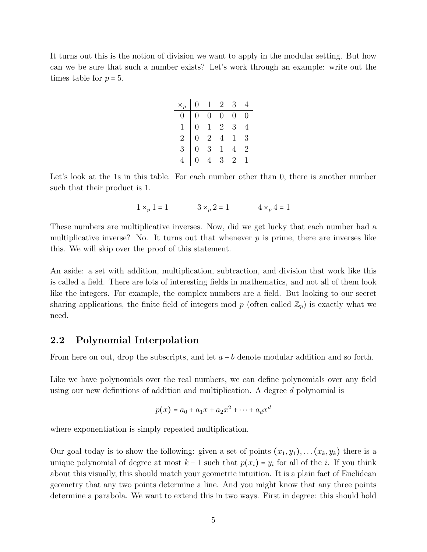It turns out this is the notion of division we want to apply in the modular setting. But how can we be sure that such a number exists? Let's work through an example: write out the times table for  $p = 5$ .

|                | $\times_p$ 0 1 2 |                                                                                                                                           | 3 <sup>7</sup> |  |
|----------------|------------------|-------------------------------------------------------------------------------------------------------------------------------------------|----------------|--|
| $\overline{0}$ |                  |                                                                                                                                           |                |  |
| $\overline{1}$ |                  |                                                                                                                                           |                |  |
| $\overline{2}$ |                  |                                                                                                                                           |                |  |
| $\overline{3}$ |                  | $\begin{array}{cccccc} 0 & 0 & 0 & 0 & 0 \\ 0 & 1 & 2 & 3 & 4 \\ 0 & 2 & 4 & 1 & 3 \\ 0 & 3 & 1 & 4 & 2 \\ 0 & 4 & 3 & 2 & 1 \end{array}$ |                |  |
|                |                  |                                                                                                                                           |                |  |

Let's look at the 1s in this table. For each number other than 0, there is another number such that their product is 1.

$$
1 \times_p 1 = 1
$$
  $3 \times_p 2 = 1$   $4 \times_p 4 = 1$ 

These numbers are multiplicative inverses. Now, did we get lucky that each number had a multiplicative inverse? No. It turns out that whenever  $p$  is prime, there are inverses like this. We will skip over the proof of this statement.

An aside: a set with addition, multiplication, subtraction, and division that work like this is called a field. There are lots of interesting fields in mathematics, and not all of them look like the integers. For example, the complex numbers are a field. But looking to our secret sharing applications, the finite field of integers mod p (often called  $\mathbb{Z}_p$ ) is exactly what we need.

#### 2.2 Polynomial Interpolation

From here on out, drop the subscripts, and let  $a + b$  denote modular addition and so forth.

Like we have polynomials over the real numbers, we can define polynomials over any field using our new definitions of addition and multiplication. A degree d polynomial is

$$
p(x) = a_0 + a_1 x + a_2 x^2 + \dots + a_d x^d
$$

where exponentiation is simply repeated multiplication.

Our goal today is to show the following: given a set of points  $(x_1, y_1), \ldots, (x_k, y_k)$  there is a unique polynomial of degree at most  $k-1$  such that  $p(x_i) = y_i$  for all of the *i*. If you think about this visually, this should match your geometric intuition. It is a plain fact of Euclidean geometry that any two points determine a line. And you might know that any three points determine a parabola. We want to extend this in two ways. First in degree: this should hold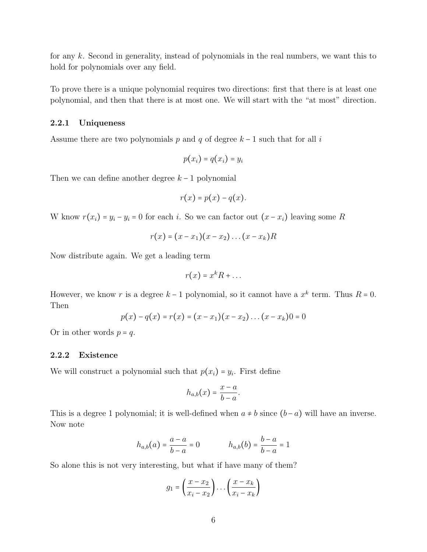for any k. Second in generality, instead of polynomials in the real numbers, we want this to hold for polynomials over any field.

To prove there is a unique polynomial requires two directions: first that there is at least one polynomial, and then that there is at most one. We will start with the "at most" direction.

#### 2.2.1 Uniqueness

Assume there are two polynomials p and q of degree  $k-1$  such that for all i

$$
p(x_i) = q(x_i) = y_i
$$

Then we can define another degree  $k-1$  polynomial

$$
r(x) = p(x) - q(x).
$$

W know  $r(x_i) = y_i - y_i = 0$  for each i. So we can factor out  $(x - x_i)$  leaving some R

$$
r(x)=(x-x_1)(x-x_2)\ldots(x-x_k)R
$$

Now distribute again. We get a leading term

$$
r(x) = x^k R + \dots
$$

However, we know r is a degree  $k-1$  polynomial, so it cannot have a  $x^k$  term. Thus  $R = 0$ . Then

$$
p(x) - q(x) = r(x) = (x - x_1)(x - x_2) \dots (x - x_k) = 0
$$

Or in other words  $p = q$ .

#### 2.2.2 Existence

We will construct a polynomial such that  $p(x_i) = y_i$ . First define

$$
h_{a,b}(x) = \frac{x-a}{b-a}.
$$

This is a degree 1 polynomial; it is well-defined when  $a \neq b$  since  $(b - a)$  will have an inverse. Now note

$$
h_{a,b}(a) = \frac{a-a}{b-a} = 0 \qquad \qquad h_{a,b}(b) = \frac{b-a}{b-a} = 1
$$

So alone this is not very interesting, but what if have many of them?

$$
g_1 = \left(\frac{x - x_2}{x_i - x_2}\right) \dots \left(\frac{x - x_k}{x_i - x_k}\right)
$$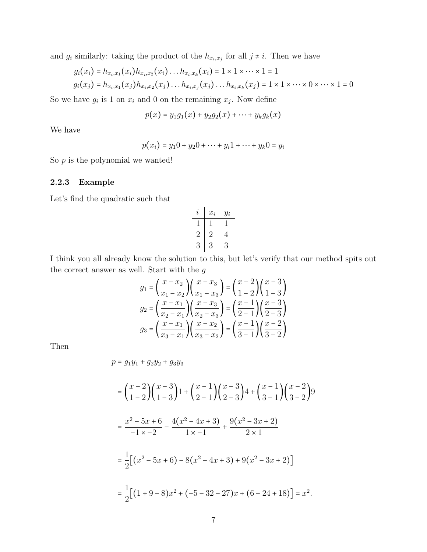and  $g_i$  similarly: taking the product of the  $h_{x_i,x_j}$  for all  $j \neq i$ . Then we have

$$
g_i(x_i) = h_{x_i, x_1}(x_i) h_{x_i, x_2}(x_i) \dots h_{x_i, x_k}(x_i) = 1 \times 1 \times \dots \times 1 = 1
$$
  

$$
g_i(x_j) = h_{x_i, x_1}(x_j) h_{x_i, x_2}(x_j) \dots h_{x_i, x_j}(x_j) \dots h_{x_i, x_k}(x_j) = 1 \times 1 \times \dots \times 0 \times \dots \times 1 = 0
$$

So we have  $g_i$  is 1 on  $x_i$  and 0 on the remaining  $x_j$ . Now define

$$
p(x) = y_1 g_1(x) + y_2 g_2(x) + \cdots + y_k g_k(x)
$$

We have

$$
p(x_i) = y_1 0 + y_2 0 + \dots + y_i 1 + \dots + y_k 0 = y_i
$$

So  $p$  is the polynomial we wanted!

### 2.2.3 Example

Let's find the quadratic such that

$$
\begin{array}{c|cc}\ni & x_i & y_i \\
\hline\n1 & 1 & 1 \\
2 & 2 & 4 \\
3 & 3 & 3\n\end{array}
$$

I think you all already know the solution to this, but let's verify that our method spits out the correct answer as well. Start with the  $g$ 

$$
g_1 = \left(\frac{x - x_2}{x_1 - x_2}\right) \left(\frac{x - x_3}{x_1 - x_3}\right) = \left(\frac{x - 2}{1 - 2}\right) \left(\frac{x - 3}{1 - 3}\right)
$$

$$
g_2 = \left(\frac{x - x_1}{x_2 - x_1}\right) \left(\frac{x - x_3}{x_2 - x_3}\right) = \left(\frac{x - 1}{2 - 1}\right) \left(\frac{x - 3}{2 - 3}\right)
$$

$$
g_3 = \left(\frac{x - x_1}{x_3 - x_1}\right) \left(\frac{x - x_2}{x_3 - x_2}\right) = \left(\frac{x - 1}{3 - 1}\right) \left(\frac{x - 2}{3 - 2}\right)
$$

Then

$$
p = g_1 y_1 + g_2 y_2 + g_3 y_3
$$

$$
= \left(\frac{x-2}{1-2}\right) \left(\frac{x-3}{1-3}\right) 1 + \left(\frac{x-1}{2-1}\right) \left(\frac{x-3}{2-3}\right) 4 + \left(\frac{x-1}{3-1}\right) \left(\frac{x-2}{3-2}\right) 9
$$
  

$$
= \frac{x^2 - 5x + 6}{-1 \times -2} - \frac{4(x^2 - 4x + 3)}{1 \times -1} + \frac{9(x^2 - 3x + 2)}{2 \times 1}
$$
  

$$
= \frac{1}{2} \left[ (x^2 - 5x + 6) - 8(x^2 - 4x + 3) + 9(x^2 - 3x + 2) \right]
$$
  

$$
= \frac{1}{2} \left[ (1 + 9 - 8)x^2 + (-5 - 32 - 27)x + (6 - 24 + 18) \right] = x^2.
$$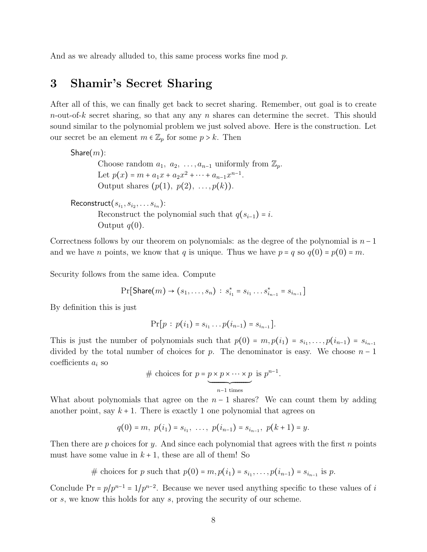And as we already alluded to, this same process works fine mod p.

### 3 Shamir's Secret Sharing

After all of this, we can finally get back to secret sharing. Remember, out goal is to create  $n$ -out-of-k secret sharing, so that any any n shares can determine the secret. This should sound similar to the polynomial problem we just solved above. Here is the construction. Let our secret be an element  $m \in \mathbb{Z}_p$  for some  $p > k$ . Then

Share $(m)$ : Choose random  $a_1, a_2, \ldots, a_{n-1}$  uniformly from  $\mathbb{Z}_p$ . Let  $p(x) = m + a_1x + a_2x^2 + \cdots + a_{n-1}x^{n-1}$ . Output shares  $(p(1), p(2), \ldots, p(k))$ .

 $\mathsf{Reconstruct}(s_{i_1}, s_{i_2}, \ldots s_{i_n})$ : Reconstruct the polynomial such that  $q(s_{i-1}) = i$ . Output  $q(0)$ .

Correctness follows by our theorem on polynomials: as the degree of the polynomial is  $n-1$ and we have *n* points, we know that *q* is unique. Thus we have  $p = q$  so  $q(0) = p(0) = m$ .

Security follows from the same idea. Compute

 $Pr[\textsf{Share}(m) \rightarrow (s_1, \ldots, s_n) : s_{i_1}^* = s_{i_1} \ldots s_{i_{n-1}}^* = s_{i_{n-1}}]$ 

By definition this is just

$$
\Pr[p : p(i_1) = s_{i_1} \dots p(i_{n-1}) = s_{i_{n-1}}].
$$

This is just the number of polynomials such that  $p(0) = m$ ,  $p(i_1) = s_{i_1}, \ldots, p(i_{n-1}) = s_{i_{n-1}}$ divided by the total number of choices for p. The denominator is easy. We choose  $n-1$ coefficients  $a_i$  so

# choices for 
$$
p = p \times p \times \cdots \times p
$$
 is  $p^{n-1}$ .

What about polynomials that agree on the  $n-1$  shares? We can count them by adding another point, say  $k+1$ . There is exactly 1 one polynomial that agrees on

$$
q(0) = m, p(i1) = si1, ..., p(in-1) = sin-1, p(k + 1) = y.
$$

Then there are p choices for y. And since each polynomial that agrees with the first n points must have some value in  $k + 1$ , these are all of them! So

# choices for p such that  $p(0) = m, p(i_1) = s_{i_1}, \ldots, p(i_{n-1}) = s_{i_{n-1}}$  is p.

Conclude Pr =  $p/p^{n-1} = 1/p^{n-2}$ . Because we never used anything specific to these values of i or s, we know this holds for any s, proving the security of our scheme.